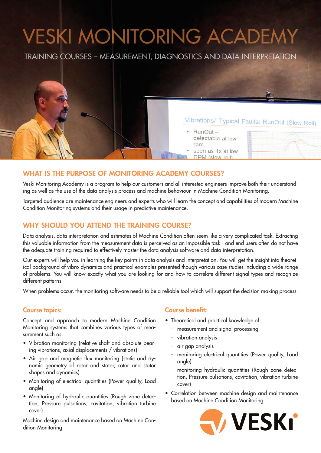# VESKI MONITORING ACADEMY

TRAINING COURSES - MEASUREMENT, DIAGNOSTICS AND DATA INTERPRETATION

# **WHAT IS THE PURPOSE OF MONITORING ACADEMY COURSES?**

Veski Monitoring Academy is a program to help our customers and all interested engineers improve both their understanding as well as the use of the data analysis process and machine behaviour in Machine Condition Monitoring.

Targeted audience are maintenance engineers and experts who will learn the concept and capabilities of modern Machine Condition Monitoring systems and their usage in predictive maintenance.

## **WHY SHOULD YOU ATTEND THE TRAINING COURSE?**

Data analysis, data interpretation and estimates of Machine Condition often seem like a very complicated task. Extracting this valuable information from the measurement data is perceived as an impossible task - and end users often do not have the adequate training required to effectively master the data analysis software and data interpretation.

Our experts will help you in learning the key points in data analysis and interpretation. You will get the insight into theoretical background of vibro-dynamics and practical examples presented though various case studies including a wide range of problems. You will know exactly what you are looking for and how to correlate different signal types and recognize different patterns.

When problems occur, the monitoring software needs to be a reliable tool which will support the decision making process.

#### **Course topics:**

Concept and approach to modern Machine Condition Monitoring systems that combines various types of measurement such as:

- Vibration monitoring (relative shaft and absolute bearing vibrations, axial displacements / vibrations)
- Air gap and magnetic flux monitoring (static and dynamic geometry of rotor and stator, rotor and stator shapes and dynamics)
- Monitoring of electrical quantities (Power quality, Load angle)
- Monitoring of hydraulic quantities (Rough zone detection, Pressure pulsations, cavitation, vibration turbine cover)

Machine design and maintenance based on Machine Condition Monitoring

#### **Course benefit:**

• Theoretical and practical knowledge of:

 $RunOut -$ 

rpm

detectable at low

seen as 1x at low RPM (slow roll)

- measurement and signal processing
- vibration analysis
- air gap analysis
- monitoring electrical quantities (Power quality, Load angle)
- monitoring hydraulic quantities (Rough zone detection, Pressure pulsations, cavitation, vibration turbine cover)
- Correlation between machine design and maintenance based on Machine Condition Monitoring



Vibrations/ Typical Faults: RunOut (Slow Roll)